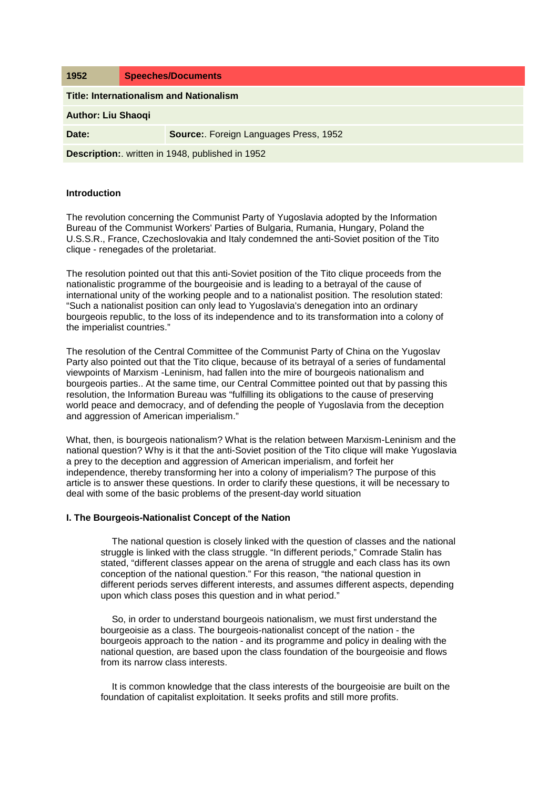| 1952                                             | <b>Speeches/Documents</b> |                                       |
|--------------------------------------------------|---------------------------|---------------------------------------|
| <b>Title: Internationalism and Nationalism</b>   |                           |                                       |
| <b>Author: Liu Shaoqi</b>                        |                           |                                       |
| Date:                                            |                           | Source: Foreign Languages Press, 1952 |
| Description:. written in 1948, published in 1952 |                           |                                       |

# **Introduction**

The revolution concerning the Communist Party of Yugoslavia adopted by the Information Bureau of the Communist Workers' Parties of Bulgaria, Rumania, Hungary, Poland the U.S.S.R., France, Czechoslovakia and Italy condemned the anti-Soviet position of the Tito clique - renegades of the proletariat.

The resolution pointed out that this anti-Soviet position of the Tito clique proceeds from the nationalistic programme of the bourgeoisie and is leading to a betrayal of the cause of international unity of the working people and to a nationalist position. The resolution stated: "Such a nationalist position can only lead to Yugoslavia's denegation into an ordinary bourgeois republic, to the loss of its independence and to its transformation into a colony of the imperialist countries."

The resolution of the Central Committee of the Communist Party of China on the Yugoslav Party also pointed out that the Tito clique, because of its betrayal of a series of fundamental viewpoints of Marxism -Leninism, had fallen into the mire of bourgeois nationalism and bourgeois parties.. At the same time, our Central Committee pointed out that by passing this resolution, the Information Bureau was "fulfilling its obligations to the cause of preserving world peace and democracy, and of defending the people of Yugoslavia from the deception and aggression of American imperialism."

What, then, is bourgeois nationalism? What is the relation between Marxism-Leninism and the national question? Why is it that the anti-Soviet position of the Tito clique will make Yugoslavia a prey to the deception and aggression of American imperialism, and forfeit her independence, thereby transforming her into a colony of imperialism? The purpose of this article is to answer these questions. In order to clarify these questions, it will be necessary to deal with some of the basic problems of the present-day world situation

# **I. The Bourgeois-Nationalist Concept of the Nation**

The national question is closely linked with the question of classes and the national struggle is linked with the class struggle. "In different periods," Comrade Stalin has stated, "different classes appear on the arena of struggle and each class has its own conception of the national question." For this reason, "the national question in different periods serves different interests, and assumes different aspects, depending upon which class poses this question and in what period."

So, in order to understand bourgeois nationalism, we must first understand the bourgeoisie as a class. The bourgeois-nationalist concept of the nation - the bourgeois approach to the nation - and its programme and policy in dealing with the national question, are based upon the class foundation of the bourgeoisie and flows from its narrow class interests.

It is common knowledge that the class interests of the bourgeoisie are built on the foundation of capitalist exploitation. It seeks profits and still more profits.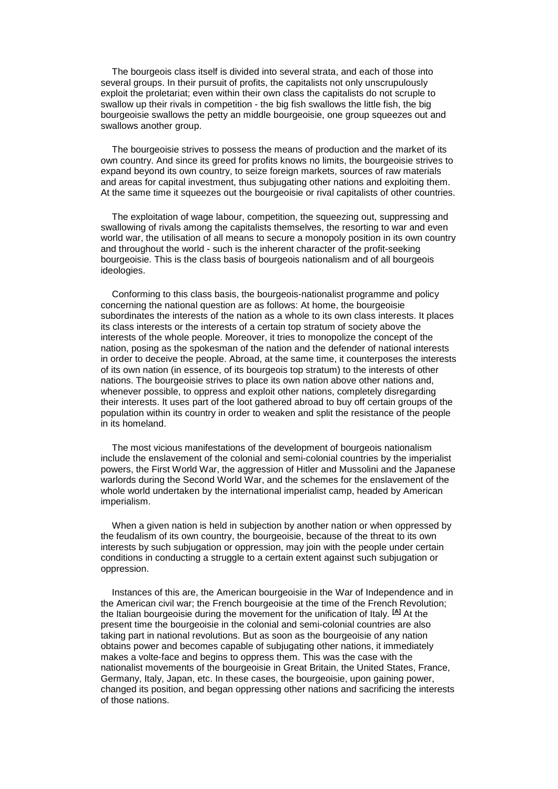The bourgeois class itself is divided into several strata, and each of those into several groups. In their pursuit of profits, the capitalists not only unscrupulously exploit the proletariat; even within their own class the capitalists do not scruple to swallow up their rivals in competition - the big fish swallows the little fish, the big bourgeoisie swallows the petty an middle bourgeoisie, one group squeezes out and swallows another group.

The bourgeoisie strives to possess the means of production and the market of its own country. And since its greed for profits knows no limits, the bourgeoisie strives to expand beyond its own country, to seize foreign markets, sources of raw materials and areas for capital investment, thus subjugating other nations and exploiting them. At the same time it squeezes out the bourgeoisie or rival capitalists of other countries.

The exploitation of wage labour, competition, the squeezing out, suppressing and swallowing of rivals among the capitalists themselves, the resorting to war and even world war, the utilisation of all means to secure a monopoly position in its own country and throughout the world - such is the inherent character of the profit-seeking bourgeoisie. This is the class basis of bourgeois nationalism and of all bourgeois ideologies.

Conforming to this class basis, the bourgeois-nationalist programme and policy concerning the national question are as follows: At home, the bourgeoisie subordinates the interests of the nation as a whole to its own class interests. It places its class interests or the interests of a certain top stratum of society above the interests of the whole people. Moreover, it tries to monopolize the concept of the nation, posing as the spokesman of the nation and the defender of national interests in order to deceive the people. Abroad, at the same time, it counterposes the interests of its own nation (in essence, of its bourgeois top stratum) to the interests of other nations. The bourgeoisie strives to place its own nation above other nations and, whenever possible, to oppress and exploit other nations, completely disregarding their interests. It uses part of the loot gathered abroad to buy off certain groups of the population within its country in order to weaken and split the resistance of the people in its homeland.

The most vicious manifestations of the development of bourgeois nationalism include the enslavement of the colonial and semi-colonial countries by the imperialist powers, the First World War, the aggression of Hitler and Mussolini and the Japanese warlords during the Second World War, and the schemes for the enslavement of the whole world undertaken by the international imperialist camp, headed by American imperialism.

When a given nation is held in subjection by another nation or when oppressed by the feudalism of its own country, the bourgeoisie, because of the threat to its own interests by such subjugation or oppression, may join with the people under certain conditions in conducting a struggle to a certain extent against such subjugation or oppression.

Instances of this are, the American bourgeoisie in the War of Independence and in the American civil war; the French bourgeoisie at the time of the French Revolution; the Italian bourgeoisie during the movement for the unification of Italy. **[\[A\]](http://www.marxists.org/reference/archive/liu-shaoqi/1952/internationalism_nationalism/ch01.htm#1#1)** At the present time the bourgeoisie in the colonial and semi-colonial countries are also taking part in national revolutions. But as soon as the bourgeoisie of any nation obtains power and becomes capable of subjugating other nations, it immediately makes a volte-face and begins to oppress them. This was the case with the nationalist movements of the bourgeoisie in Great Britain, the United States, France, Germany, Italy, Japan, etc. In these cases, the bourgeoisie, upon gaining power, changed its position, and began oppressing other nations and sacrificing the interests of those nations.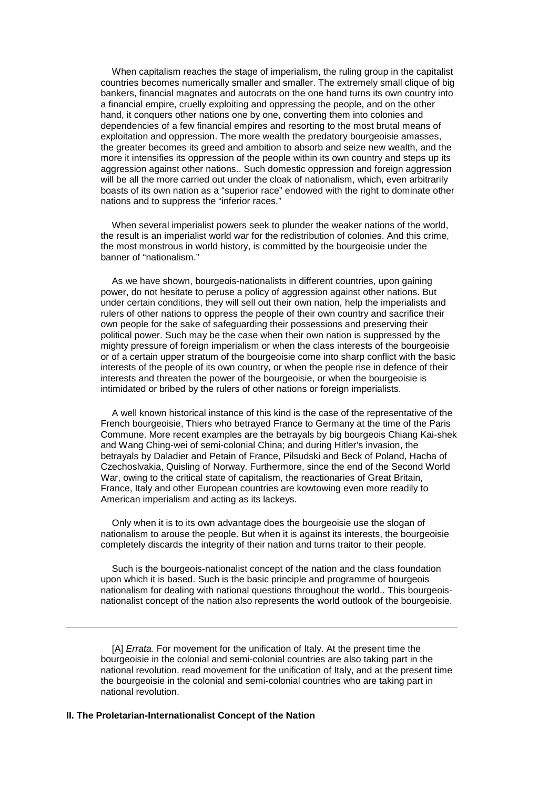When capitalism reaches the stage of imperialism, the ruling group in the capitalist countries becomes numerically smaller and smaller. The extremely small clique of big bankers, financial magnates and autocrats on the one hand turns its own country into a financial empire, cruelly exploiting and oppressing the people, and on the other hand, it conquers other nations one by one, converting them into colonies and dependencies of a few financial empires and resorting to the most brutal means of exploitation and oppression. The more wealth the predatory bourgeoisie amasses, the greater becomes its greed and ambition to absorb and seize new wealth, and the more it intensifies its oppression of the people within its own country and steps up its aggression against other nations.. Such domestic oppression and foreign aggression will be all the more carried out under the cloak of nationalism, which, even arbitrarily boasts of its own nation as a "superior race" endowed with the right to dominate other nations and to suppress the "inferior races."

When several imperialist powers seek to plunder the weaker nations of the world, the result is an imperialist world war for the redistribution of colonies. And this crime, the most monstrous in world history, is committed by the bourgeoisie under the banner of "nationalism."

As we have shown, bourgeois-nationalists in different countries, upon gaining power, do not hesitate to peruse a policy of aggression against other nations. But under certain conditions, they will sell out their own nation, help the imperialists and rulers of other nations to oppress the people of their own country and sacrifice their own people for the sake of safeguarding their possessions and preserving their political power. Such may be the case when their own nation is suppressed by the mighty pressure of foreign imperialism or when the class interests of the bourgeoisie or of a certain upper stratum of the bourgeoisie come into sharp conflict with the basic interests of the people of its own country, or when the people rise in defence of their interests and threaten the power of the bourgeoisie, or when the bourgeoisie is intimidated or bribed by the rulers of other nations or foreign imperialists.

A well known historical instance of this kind is the case of the representative of the French bourgeoisie, Thiers who betrayed France to Germany at the time of the Paris Commune. More recent examples are the betrayals by big bourgeois Chiang Kai-shek and Wang Ching-wei of semi-colonial China; and during Hitler's invasion, the betrayals by Daladier and Petain of France, Pilsudski and Beck of Poland, Hacha of Czechoslvakia, Quisling of Norway. Furthermore, since the end of the Second World War, owing to the critical state of capitalism, the reactionaries of Great Britain, France, Italy and other European countries are kowtowing even more readily to American imperialism and acting as its lackeys.

Only when it is to its own advantage does the bourgeoisie use the slogan of nationalism to arouse the people. But when it is against its interests, the bourgeoisie completely discards the integrity of their nation and turns traitor to their people.

Such is the bourgeois-nationalist concept of the nation and the class foundation upon which it is based. Such is the basic principle and programme of bourgeois nationalism for dealing with national questions throughout the world.. This bourgeoisnationalist concept of the nation also represents the world outlook of the bourgeoisie.

[\[A\]](http://www.marxists.org/reference/archive/liu-shaoqi/1952/internationalism_nationalism/ch01.htm#1b#1b) *Errata.* For movement for the unification of Italy. At the present time the bourgeoisie in the colonial and semi-colonial countries are also taking part in the national revolution. read movement for the unification of Italy, and at the present time the bourgeoisie in the colonial and semi-colonial countries who are taking part in national revolution.

## **II. The Proletarian-Internationalist Concept of the Nation**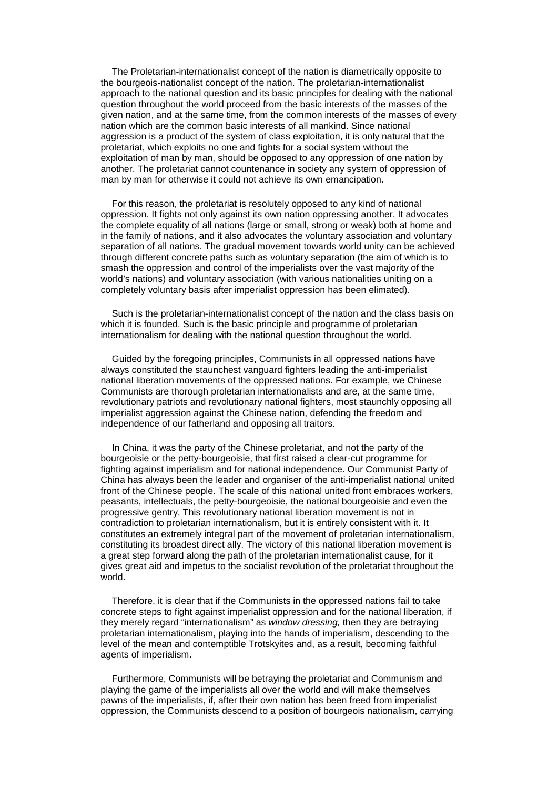The Proletarian-internationalist concept of the nation is diametrically opposite to the bourgeois-nationalist concept of the nation. The proletarian-internationalist approach to the national question and its basic principles for dealing with the national question throughout the world proceed from the basic interests of the masses of the given nation, and at the same time, from the common interests of the masses of every nation which are the common basic interests of all mankind. Since national aggression is a product of the system of class exploitation, it is only natural that the proletariat, which exploits no one and fights for a social system without the exploitation of man by man, should be opposed to any oppression of one nation by another. The proletariat cannot countenance in society any system of oppression of man by man for otherwise it could not achieve its own emancipation.

For this reason, the proletariat is resolutely opposed to any kind of national oppression. It fights not only against its own nation oppressing another. It advocates the complete equality of all nations (large or small, strong or weak) both at home and in the family of nations, and it also advocates the voluntary association and voluntary separation of all nations. The gradual movement towards world unity can be achieved through different concrete paths such as voluntary separation (the aim of which is to smash the oppression and control of the imperialists over the vast majority of the world's nations) and voluntary association (with various nationalities uniting on a completely voluntary basis after imperialist oppression has been elimated).

Such is the proletarian-internationalist concept of the nation and the class basis on which it is founded. Such is the basic principle and programme of proletarian internationalism for dealing with the national question throughout the world.

Guided by the foregoing principles, Communists in all oppressed nations have always constituted the staunchest vanguard fighters leading the anti-imperialist national liberation movements of the oppressed nations. For example, we Chinese Communists are thorough proletarian internationalists and are, at the same time, revolutionary patriots and revolutionary national fighters, most staunchly opposing all imperialist aggression against the Chinese nation, defending the freedom and independence of our fatherland and opposing all traitors.

In China, it was the party of the Chinese proletariat, and not the party of the bourgeoisie or the petty-bourgeoisie, that first raised a clear-cut programme for fighting against imperialism and for national independence. Our Communist Party of China has always been the leader and organiser of the anti-imperialist national united front of the Chinese people. The scale of this national united front embraces workers, peasants, intellectuals, the petty-bourgeoisie, the national bourgeoisie and even the progressive gentry. This revolutionary national liberation movement is not in contradiction to proletarian internationalism, but it is entirely consistent with it. It constitutes an extremely integral part of the movement of proletarian internationalism, constituting its broadest direct ally. The victory of this national liberation movement is a great step forward along the path of the proletarian internationalist cause, for it gives great aid and impetus to the socialist revolution of the proletariat throughout the world.

Therefore, it is clear that if the Communists in the oppressed nations fail to take concrete steps to fight against imperialist oppression and for the national liberation, if they merely regard "internationalism" as *window dressing,* then they are betraying proletarian internationalism, playing into the hands of imperialism, descending to the level of the mean and contemptible Trotskyites and, as a result, becoming faithful agents of imperialism.

Furthermore, Communists will be betraying the proletariat and Communism and playing the game of the imperialists all over the world and will make themselves pawns of the imperialists, if, after their own nation has been freed from imperialist oppression, the Communists descend to a position of bourgeois nationalism, carrying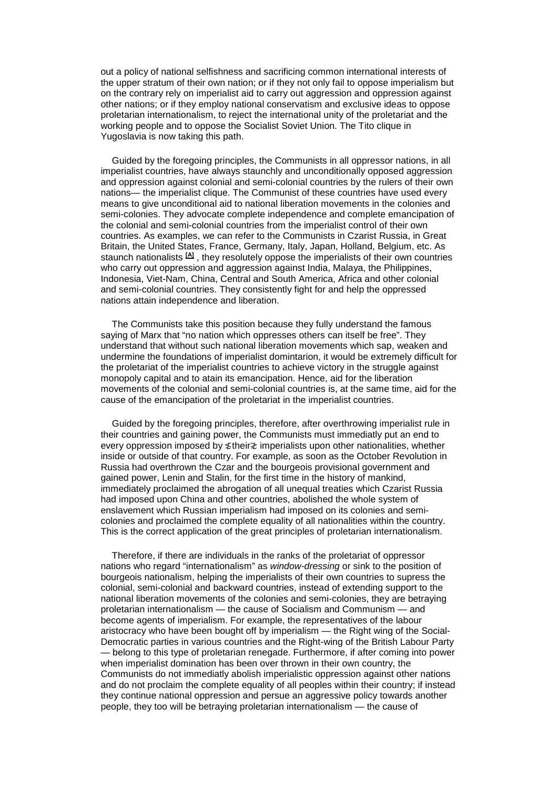out a policy of national selfishness and sacrificing common international interests of the upper stratum of their own nation; or if they not only fail to oppose imperialism but on the contrary rely on imperialist aid to carry out aggression and oppression against other nations; or if they employ national conservatism and exclusive ideas to oppose proletarian internationalism, to reject the international unity of the proletariat and the working people and to oppose the Socialist Soviet Union. The Tito clique in Yugoslavia is now taking this path.

Guided by the foregoing principles, the Communists in all oppressor nations, in all imperialist countries, have always staunchly and unconditionally opposed aggression and oppression against colonial and semi-colonial countries by the rulers of their own nations— the imperialist clique. The Communist of these countries have used every means to give unconditional aid to national liberation movements in the colonies and semi-colonies. They advocate complete independence and complete emancipation of the colonial and semi-colonial countries from the imperialist control of their own countries. As examples, we can refer to the Communists in Czarist Russia, in Great Britain, the United States, France, Germany, Italy, Japan, Holland, Belgium, etc. As staunch nationalists **[\[A\]](http://www.marxists.org/reference/archive/liu-shaoqi/1952/internationalism_nationalism/ch02.htm#1#1)** , they resolutely oppose the imperialists of their own countries who carry out oppression and aggression against India, Malaya, the Philippines, Indonesia, Viet-Nam, China, Central and South America, Africa and other colonial and semi-colonial countries. They consistently fight for and help the oppressed nations attain independence and liberation.

The Communists take this position because they fully understand the famous saying of Marx that "no nation which oppresses others can itself be free". They understand that without such national liberation movements which sap, weaken and undermine the foundations of imperialist domintarion, it would be extremely difficult for the proletariat of the imperialist countries to achieve victory in the struggle against monopoly capital and to atain its emancipation. Hence, aid for the liberation movements of the colonial and semi-colonial countries is, at the same time, aid for the cause of the emancipation of the proletariat in the imperialist countries.

Guided by the foregoing principles, therefore, after overthrowing imperialist rule in their countries and gaining power, the Communists must immediatly put an end to every oppression imposed by ≴their≵ imperialists upon other nationalities, whether inside or outside of that country. For example, as soon as the October Revolution in Russia had overthrown the Czar and the bourgeois provisional government and gained power, Lenin and Stalin, for the first time in the history of mankind, immediately proclaimed the abrogation of all unequal treaties which Czarist Russia had imposed upon China and other countries, abolished the whole system of enslavement which Russian imperialism had imposed on its colonies and semicolonies and proclaimed the complete equality of all nationalities within the country. This is the correct application of the great principles of proletarian internationalism.

Therefore, if there are individuals in the ranks of the proletariat of oppressor nations who regard "internationalism" as *window-dressing* or sink to the position of bourgeois nationalism, helping the imperialists of their own countries to supress the colonial, semi-colonial and backward countries, instead of extending support to the national liberation movements of the colonies and semi-colonies, they are betraying proletarian internationalism — the cause of Socialism and Communism — and become agents of imperialism. For example, the representatives of the labour aristocracy who have been bought off by imperialism — the Right wing of the Social-Democratic parties in various countries and the Right-wing of the British Labour Party — belong to this type of proletarian renegade. Furthermore, if after coming into power when imperialist domination has been over thrown in their own country, the Communists do not immediatly abolish imperialistic oppression against other nations and do not proclaim the complete equality of all peoples within their country; if instead they continue national oppression and persue an aggressive policy towards another people, they too will be betraying proletarian internationalism — the cause of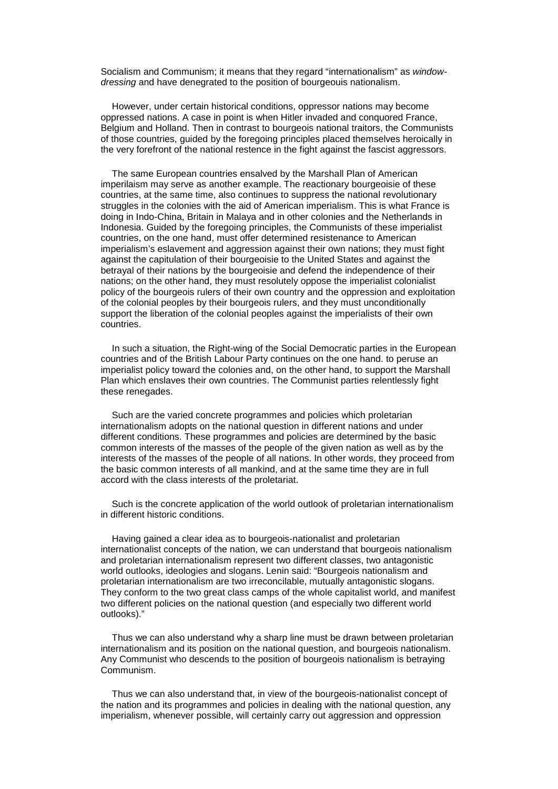Socialism and Communism; it means that they regard "internationalism" as *windowdressing* and have denegrated to the position of bourgeouis nationalism.

However, under certain historical conditions, oppressor nations may become oppressed nations. A case in point is when Hitler invaded and conquored France, Belgium and Holland. Then in contrast to bourgeois national traitors, the Communists of those countries, guided by the foregoing principles placed themselves heroically in the very forefront of the national restence in the fight against the fascist aggressors.

The same European countries ensalved by the Marshall Plan of American imperilaism may serve as another example. The reactionary bourgeoisie of these countries, at the same time, also continues to suppress the national revolutionary struggles in the colonies with the aid of American imperialism. This is what France is doing in Indo-China, Britain in Malaya and in other colonies and the Netherlands in Indonesia. Guided by the foregoing principles, the Communists of these imperialist countries, on the one hand, must offer determined resistenance to American imperialism's eslavement and aggression against their own nations; they must fight against the capitulation of their bourgeoisie to the United States and against the betrayal of their nations by the bourgeoisie and defend the independence of their nations; on the other hand, they must resolutely oppose the imperialist colonialist policy of the bourgeois rulers of their own country and the oppression and exploitation of the colonial peoples by their bourgeois rulers, and they must unconditionally support the liberation of the colonial peoples against the imperialists of their own countries.

In such a situation, the Right-wing of the Social Democratic parties in the European countries and of the British Labour Party continues on the one hand. to peruse an imperialist policy toward the colonies and, on the other hand, to support the Marshall Plan which enslaves their own countries. The Communist parties relentlessly fight these renegades.

Such are the varied concrete programmes and policies which proletarian internationalism adopts on the national question in different nations and under different conditions. These programmes and policies are determined by the basic common interests of the masses of the people of the given nation as well as by the interests of the masses of the people of all nations. In other words, they proceed from the basic common interests of all mankind, and at the same time they are in full accord with the class interests of the proletariat.

Such is the concrete application of the world outlook of proletarian internationalism in different historic conditions.

Having gained a clear idea as to bourgeois-nationalist and proletarian internationalist concepts of the nation, we can understand that bourgeois nationalism and proletarian internationalism represent two different classes, two antagonistic world outlooks, ideologies and slogans. Lenin said: "Bourgeois nationalism and proletarian internationalism are two irreconcilable, mutually antagonistic slogans. They conform to the two great class camps of the whole capitalist world, and manifest two different policies on the national question (and especially two different world outlooks)."

Thus we can also understand why a sharp line must be drawn between proletarian internationalism and its position on the national question, and bourgeois nationalism. Any Communist who descends to the position of bourgeois nationalism is betraying Communism.

Thus we can also understand that, in view of the bourgeois-nationalist concept of the nation and its programmes and policies in dealing with the national question, any imperialism, whenever possible, will certainly carry out aggression and oppression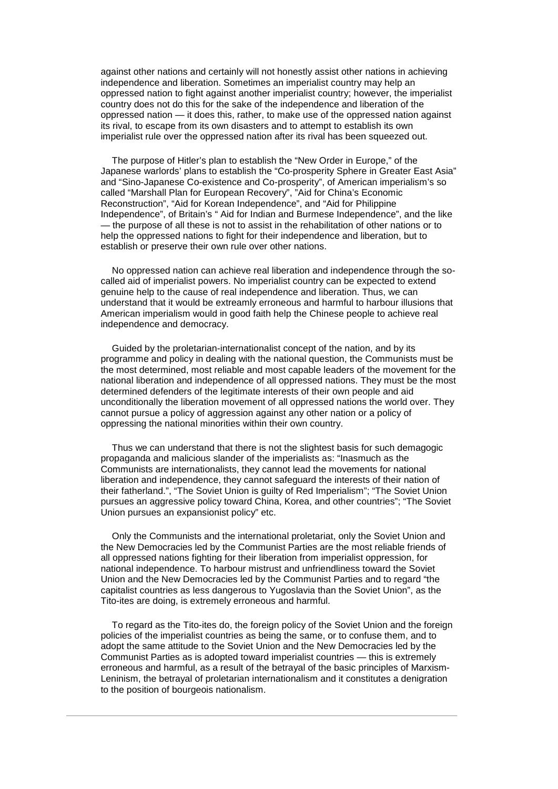against other nations and certainly will not honestly assist other nations in achieving independence and liberation. Sometimes an imperialist country may help an oppressed nation to fight against another imperialist country; however, the imperialist country does not do this for the sake of the independence and liberation of the oppressed nation — it does this, rather, to make use of the oppressed nation against its rival, to escape from its own disasters and to attempt to establish its own imperialist rule over the oppressed nation after its rival has been squeezed out.

The purpose of Hitler's plan to establish the "New Order in Europe," of the Japanese warlords' plans to establish the "Co-prosperity Sphere in Greater East Asia" and "Sino-Japanese Co-existence and Co-prosperity", of American imperialism's so called "Marshall Plan for European Recovery", "Aid for China's Economic Reconstruction", "Aid for Korean Independence", and "Aid for Philippine Independence", of Britain's " Aid for Indian and Burmese Independence", and the like — the purpose of all these is not to assist in the rehabilitation of other nations or to help the oppressed nations to fight for their independence and liberation, but to establish or preserve their own rule over other nations.

No oppressed nation can achieve real liberation and independence through the socalled aid of imperialist powers. No imperialist country can be expected to extend genuine help to the cause of real independence and liberation. Thus, we can understand that it would be extreamly erroneous and harmful to harbour illusions that American imperialism would in good faith help the Chinese people to achieve real independence and democracy.

Guided by the proletarian-internationalist concept of the nation, and by its programme and policy in dealing with the national question, the Communists must be the most determined, most reliable and most capable leaders of the movement for the national liberation and independence of all oppressed nations. They must be the most determined defenders of the legitimate interests of their own people and aid unconditionally the liberation movement of all oppressed nations the world over. They cannot pursue a policy of aggression against any other nation or a policy of oppressing the national minorities within their own country.

Thus we can understand that there is not the slightest basis for such demagogic propaganda and malicious slander of the imperialists as: "Inasmuch as the Communists are internationalists, they cannot lead the movements for national liberation and independence, they cannot safeguard the interests of their nation of their fatherland.", "The Soviet Union is guilty of Red Imperialism"; "The Soviet Union pursues an aggressive policy toward China, Korea, and other countries"; "The Soviet Union pursues an expansionist policy" etc.

Only the Communists and the international proletariat, only the Soviet Union and the New Democracies led by the Communist Parties are the most reliable friends of all oppressed nations fighting for their liberation from imperialist oppression, for national independence. To harbour mistrust and unfriendliness toward the Soviet Union and the New Democracies led by the Communist Parties and to regard "the capitalist countries as less dangerous to Yugoslavia than the Soviet Union", as the Tito-ites are doing, is extremely erroneous and harmful.

To regard as the Tito-ites do, the foreign policy of the Soviet Union and the foreign policies of the imperialist countries as being the same, or to confuse them, and to adopt the same attitude to the Soviet Union and the New Democracies led by the Communist Parties as is adopted toward imperialist countries — this is extremely erroneous and harmful, as a result of the betrayal of the basic principles of Marxism-Leninism, the betrayal of proletarian internationalism and it constitutes a denigration to the position of bourgeois nationalism.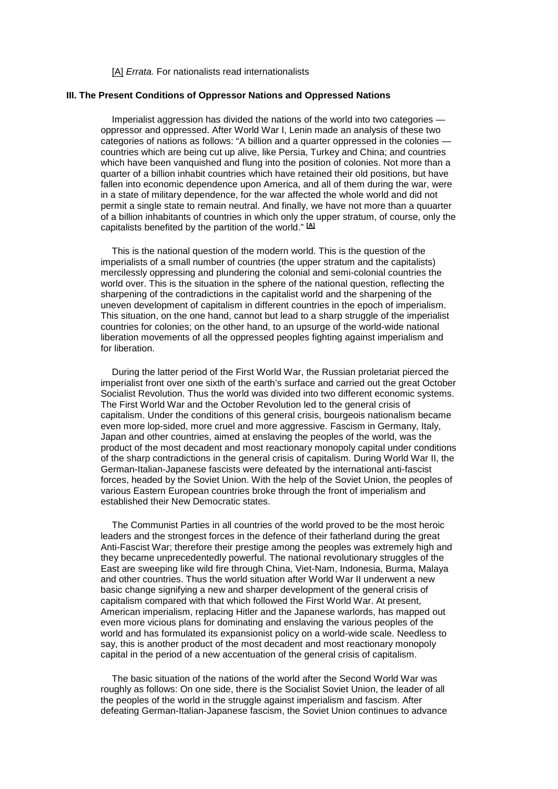[\[A\]](http://www.marxists.org/reference/archive/liu-shaoqi/1952/internationalism_nationalism/ch02.htm#1b#1b) *Errata*. For nationalists read internationalists

#### **III. The Present Conditions of Oppressor Nations and Oppressed Nations**

Imperialist aggression has divided the nations of the world into two categories oppressor and oppressed. After World War I, Lenin made an analysis of these two categories of nations as follows: "A billion and a quarter oppressed in the colonies countries which are being cut up alive, like Persia, Turkey and China; and countries which have been vanquished and flung into the position of colonies. Not more than a quarter of a billion inhabit countries which have retained their old positions, but have fallen into economic dependence upon America, and all of them during the war, were in a state of military dependence, for the war affected the whole world and did not permit a single state to remain neutral. And finally, we have not more than a quuarter of a billion inhabitants of countries in which only the upper stratum, of course, only the capitalists benefited by the partition of the world." **[\[A\]](http://www.marxists.org/reference/archive/liu-shaoqi/1952/internationalism_nationalism/ch03.htm#2#2)**

This is the national question of the modern world. This is the question of the imperialists of a small number of countries (the upper stratum and the capitalists) mercilessly oppressing and plundering the colonial and semi-colonial countries the world over. This is the situation in the sphere of the national question, reflecting the sharpening of the contradictions in the capitalist world and the sharpening of the uneven development of capitalism in different countries in the epoch of imperialism. This situation, on the one hand, cannot but lead to a sharp struggle of the imperialist countries for colonies; on the other hand, to an upsurge of the world-wide national liberation movements of all the oppressed peoples fighting against imperialism and for liberation.

During the latter period of the First World War, the Russian proletariat pierced the imperialist front over one sixth of the earth's surface and carried out the great October Socialist Revolution. Thus the world was divided into two different economic systems. The First World War and the October Revolution led to the general crisis of capitalism. Under the conditions of this general crisis, bourgeois nationalism became even more lop-sided, more cruel and more aggressive. Fascism in Germany, Italy, Japan and other countries, aimed at enslaving the peoples of the world, was the product of the most decadent and most reactionary monopoly capital under conditions of the sharp contradictions in the general crisis of capitalism. During World War II, the German-Italian-Japanese fascists were defeated by the international anti-fascist forces, headed by the Soviet Union. With the help of the Soviet Union, the peoples of various Eastern European countries broke through the front of imperialism and established their New Democratic states.

The Communist Parties in all countries of the world proved to be the most heroic leaders and the strongest forces in the defence of their fatherland during the great Anti-Fascist War; therefore their prestige among the peoples was extremely high and they became unprecedentedly powerful. The national revolutionary struggles of the East are sweeping like wild fire through China, Viet-Nam, Indonesia, Burma, Malaya and other countries. Thus the world situation after World War II underwent a new basic change signifying a new and sharper development of the general crisis of capitalism compared with that which followed the First World War. At present, American imperialism, replacing Hitler and the Japanese warlords, has mapped out even more vicious plans for dominating and enslaving the various peoples of the world and has formulated its expansionist policy on a world-wide scale. Needless to say, this is another product of the most decadent and most reactionary monopoly capital in the period of a new accentuation of the general crisis of capitalism.

The basic situation of the nations of the world after the Second World War was roughly as follows: On one side, there is the Socialist Soviet Union, the leader of all the peoples of the world in the struggle against imperialism and fascism. After defeating German-Italian-Japanese fascism, the Soviet Union continues to advance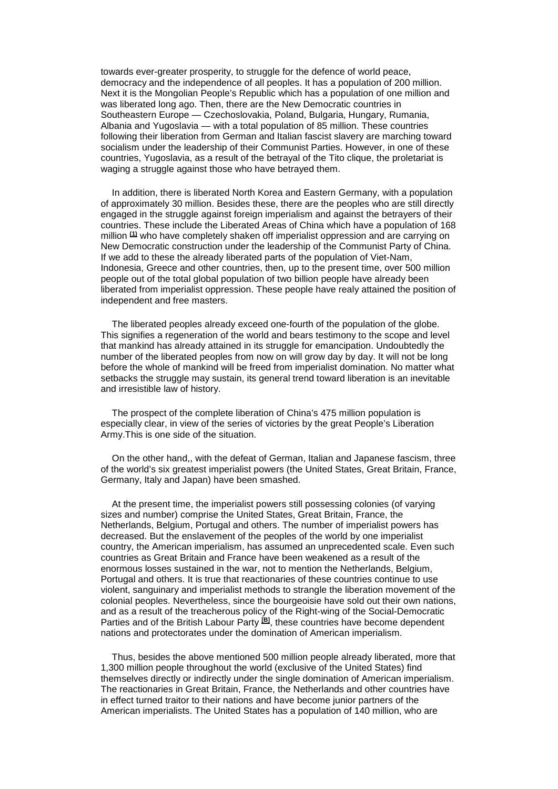towards ever-greater prosperity, to struggle for the defence of world peace, democracy and the independence of all peoples. It has a population of 200 million. Next it is the Mongolian People's Republic which has a population of one million and was liberated long ago. Then, there are the New Democratic countries in Southeastern Europe — Czechoslovakia, Poland, Bulgaria, Hungary, Rumania, Albania and Yugoslavia — with a total population of 85 million. These countries following their liberation from German and Italian fascist slavery are marching toward socialism under the leadership of their Communist Parties. However, in one of these countries, Yugoslavia, as a result of the betrayal of the Tito clique, the proletariat is waging a struggle against those who have betrayed them.

In addition, there is liberated North Korea and Eastern Germany, with a population of approximately 30 million. Besides these, there are the peoples who are still directly engaged in the struggle against foreign imperialism and against the betrayers of their countries. These include the Liberated Areas of China which have a population of 168 million **[\(1\)](http://www.marxists.org/reference/archive/liu-shaoqi/1952/internationalism_nationalism/ch03.htm#1#1)** who have completely shaken off imperialist oppression and are carrying on New Democratic construction under the leadership of the Communist Party of China. If we add to these the already liberated parts of the population of Viet-Nam, Indonesia, Greece and other countries, then, up to the present time, over 500 million people out of the total global population of two billion people have already been liberated from imperialist oppression. These people have realy attained the position of independent and free masters.

The liberated peoples already exceed one-fourth of the population of the globe. This signifies a regeneration of the world and bears testimony to the scope and level that mankind has already attained in its struggle for emancipation. Undoubtedly the number of the liberated peoples from now on will grow day by day. It will not be long before the whole of mankind will be freed from imperialist domination. No matter what setbacks the struggle may sustain, its general trend toward liberation is an inevitable and irresistible law of history.

The prospect of the complete liberation of China's 475 million population is especially clear, in view of the series of victories by the great People's Liberation Army.This is one side of the situation.

On the other hand,, with the defeat of German, Italian and Japanese fascism, three of the world's six greatest imperialist powers (the United States, Great Britain, France, Germany, Italy and Japan) have been smashed.

At the present time, the imperialist powers still possessing colonies (of varying sizes and number) comprise the United States, Great Britain, France, the Netherlands, Belgium, Portugal and others. The number of imperialist powers has decreased. But the enslavement of the peoples of the world by one imperialist country, the American imperialism, has assumed an unprecedented scale. Even such countries as Great Britain and France have been weakened as a result of the enormous losses sustained in the war, not to mention the Netherlands, Belgium, Portugal and others. It is true that reactionaries of these countries continue to use violent, sanguinary and imperialist methods to strangle the liberation movement of the colonial peoples. Nevertheless, since the bourgeoisie have sold out their own nations, and as a result of the treacherous policy of the Right-wing of the Social-Democratic Parties and of the British Labour Party **[\[B\]](http://www.marxists.org/reference/archive/liu-shaoqi/1952/internationalism_nationalism/ch03.htm#3#3)**, these countries have become dependent nations and protectorates under the domination of American imperialism.

Thus, besides the above mentioned 500 million people already liberated, more that 1,300 million people throughout the world (exclusive of the United States) find themselves directly or indirectly under the single domination of American imperialism. The reactionaries in Great Britain, France, the Netherlands and other countries have in effect turned traitor to their nations and have become junior partners of the American imperialists. The United States has a population of 140 million, who are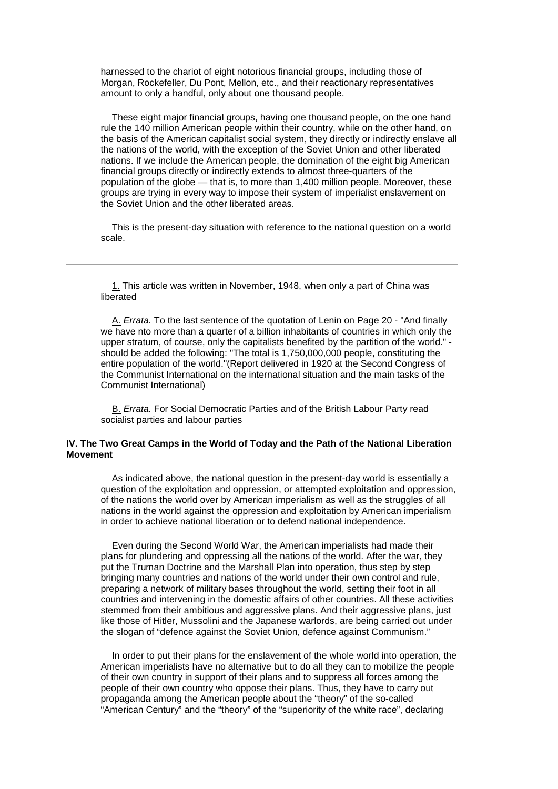harnessed to the chariot of eight notorious financial groups, including those of Morgan, Rockefeller, Du Pont, Mellon, etc., and their reactionary representatives amount to only a handful, only about one thousand people.

These eight major financial groups, having one thousand people, on the one hand rule the 140 million American people within their country, while on the other hand, on the basis of the American capitalist social system, they directly or indirectly enslave all the nations of the world, with the exception of the Soviet Union and other liberated nations. If we include the American people, the domination of the eight big American financial groups directly or indirectly extends to almost three-quarters of the population of the globe — that is, to more than 1,400 million people. Moreover, these groups are trying in every way to impose their system of imperialist enslavement on the Soviet Union and the other liberated areas.

This is the present-day situation with reference to the national question on a world scale.

[1.](http://www.marxists.org/reference/archive/liu-shaoqi/1952/internationalism_nationalism/ch03.htm#1b#1b) This article was written in November, 1948, when only a part of China was liberated

[A.](http://www.marxists.org/reference/archive/liu-shaoqi/1952/internationalism_nationalism/ch03.htm#2b#2b) *Errata.* To the last sentence of the quotation of Lenin on Page 20 - "And finally we have nto more than a quarter of a billion inhabitants of countries in which only the upper stratum, of course, only the capitalists benefited by the partition of the world." should be added the following: "The total is 1,750,000,000 people, constituting the entire population of the world."(Report delivered in 1920 at the Second Congress of the Communist International on the international situation and the main tasks of the Communist International)

[B.](http://www.marxists.org/reference/archive/liu-shaoqi/1952/internationalism_nationalism/ch03.htm#3b#3b) *Errata.* For Social Democratic Parties and of the British Labour Party read socialist parties and labour parties

# **IV. The Two Great Camps in the World of Today and the Path of the National Liberation Movement**

As indicated above, the national question in the present-day world is essentially a question of the exploitation and oppression, or attempted exploitation and oppression, of the nations the world over by American imperialism as well as the struggles of all nations in the world against the oppression and exploitation by American imperialism in order to achieve national liberation or to defend national independence.

Even during the Second World War, the American imperialists had made their plans for plundering and oppressing all the nations of the world. After the war, they put the Truman Doctrine and the Marshall Plan into operation, thus step by step bringing many countries and nations of the world under their own control and rule, preparing a network of military bases throughout the world, setting their foot in all countries and intervening in the domestic affairs of other countries. All these activities stemmed from their ambitious and aggressive plans. And their aggressive plans, just like those of Hitler, Mussolini and the Japanese warlords, are being carried out under the slogan of "defence against the Soviet Union, defence against Communism."

In order to put their plans for the enslavement of the whole world into operation, the American imperialists have no alternative but to do all they can to mobilize the people of their own country in support of their plans and to suppress all forces among the people of their own country who oppose their plans. Thus, they have to carry out propaganda among the American people about the "theory" of the so-called "American Century" and the "theory" of the "superiority of the white race", declaring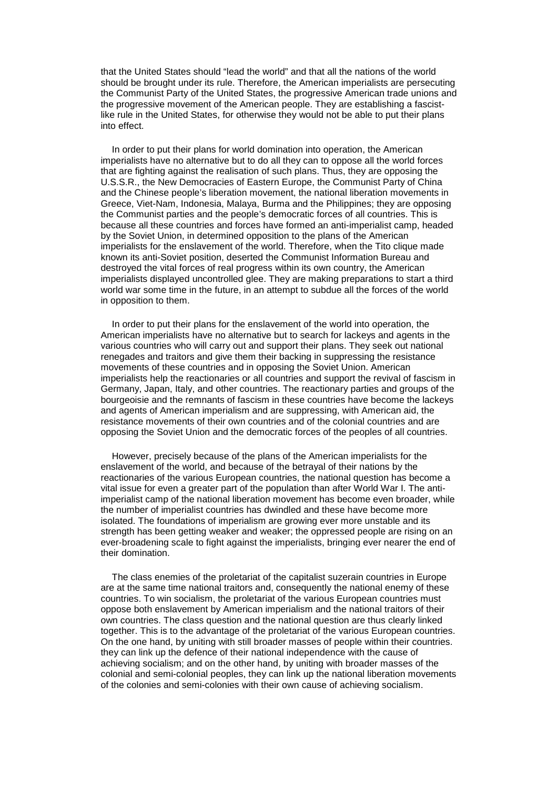that the United States should "lead the world" and that all the nations of the world should be brought under its rule. Therefore, the American imperialists are persecuting the Communist Party of the United States, the progressive American trade unions and the progressive movement of the American people. They are establishing a fascistlike rule in the United States, for otherwise they would not be able to put their plans into effect.

In order to put their plans for world domination into operation, the American imperialists have no alternative but to do all they can to oppose all the world forces that are fighting against the realisation of such plans. Thus, they are opposing the U.S.S.R., the New Democracies of Eastern Europe, the Communist Party of China and the Chinese people's liberation movement, the national liberation movements in Greece, Viet-Nam, Indonesia, Malaya, Burma and the Philippines; they are opposing the Communist parties and the people's democratic forces of all countries. This is because all these countries and forces have formed an anti-imperialist camp, headed by the Soviet Union, in determined opposition to the plans of the American imperialists for the enslavement of the world. Therefore, when the Tito clique made known its anti-Soviet position, deserted the Communist Information Bureau and destroyed the vital forces of real progress within its own country, the American imperialists displayed uncontrolled glee. They are making preparations to start a third world war some time in the future, in an attempt to subdue all the forces of the world in opposition to them.

In order to put their plans for the enslavement of the world into operation, the American imperialists have no alternative but to search for lackeys and agents in the various countries who will carry out and support their plans. They seek out national renegades and traitors and give them their backing in suppressing the resistance movements of these countries and in opposing the Soviet Union. American imperialists help the reactionaries or all countries and support the revival of fascism in Germany, Japan, Italy, and other countries. The reactionary parties and groups of the bourgeoisie and the remnants of fascism in these countries have become the lackeys and agents of American imperialism and are suppressing, with American aid, the resistance movements of their own countries and of the colonial countries and are opposing the Soviet Union and the democratic forces of the peoples of all countries.

However, precisely because of the plans of the American imperialists for the enslavement of the world, and because of the betrayal of their nations by the reactionaries of the various European countries, the national question has become a vital issue for even a greater part of the population than after World War I. The antiimperialist camp of the national liberation movement has become even broader, while the number of imperialist countries has dwindled and these have become more isolated. The foundations of imperialism are growing ever more unstable and its strength has been getting weaker and weaker; the oppressed people are rising on an ever-broadening scale to fight against the imperialists, bringing ever nearer the end of their domination.

The class enemies of the proletariat of the capitalist suzerain countries in Europe are at the same time national traitors and, consequently the national enemy of these countries. To win socialism, the proletariat of the various European countries must oppose both enslavement by American imperialism and the national traitors of their own countries. The class question and the national question are thus clearly linked together. This is to the advantage of the proletariat of the various European countries. On the one hand, by uniting with still broader masses of people within their countries. they can link up the defence of their national independence with the cause of achieving socialism; and on the other hand, by uniting with broader masses of the colonial and semi-colonial peoples, they can link up the national liberation movements of the colonies and semi-colonies with their own cause of achieving socialism.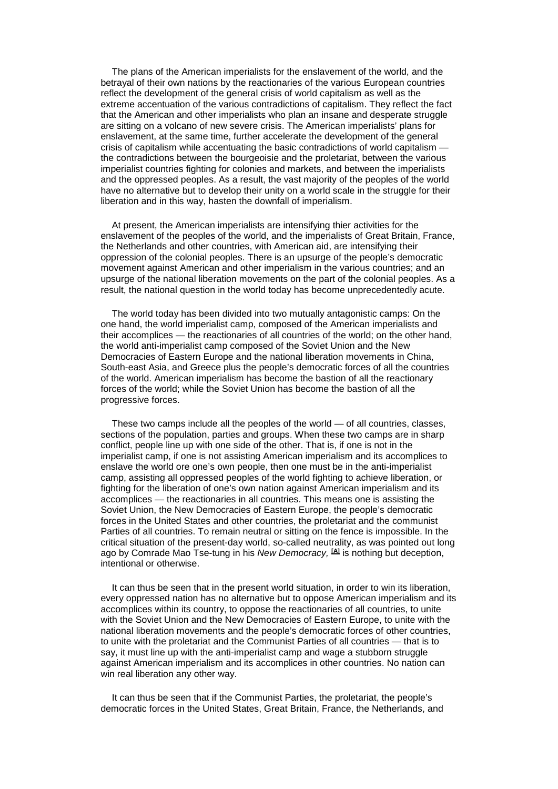The plans of the American imperialists for the enslavement of the world, and the betrayal of their own nations by the reactionaries of the various European countries reflect the development of the general crisis of world capitalism as well as the extreme accentuation of the various contradictions of capitalism. They reflect the fact that the American and other imperialists who plan an insane and desperate struggle are sitting on a volcano of new severe crisis. The American imperialists' plans for enslavement, at the same time, further accelerate the development of the general crisis of capitalism while accentuating the basic contradictions of world capitalism the contradictions between the bourgeoisie and the proletariat, between the various imperialist countries fighting for colonies and markets, and between the imperialists and the oppressed peoples. As a result, the vast majority of the peoples of the world have no alternative but to develop their unity on a world scale in the struggle for their liberation and in this way, hasten the downfall of imperialism.

At present, the American imperialists are intensifying thier activities for the enslavement of the peoples of the world, and the imperialists of Great Britain, France, the Netherlands and other countries, with American aid, are intensifying their oppression of the colonial peoples. There is an upsurge of the people's democratic movement against American and other imperialism in the various countries; and an upsurge of the national liberation movements on the part of the colonial peoples. As a result, the national question in the world today has become unprecedentedly acute.

The world today has been divided into two mutually antagonistic camps: On the one hand, the world imperialist camp, composed of the American imperialists and their accomplices — the reactionaries of all countries of the world; on the other hand, the world anti-imperialist camp composed of the Soviet Union and the New Democracies of Eastern Europe and the national liberation movements in China, South-east Asia, and Greece plus the people's democratic forces of all the countries of the world. American imperialism has become the bastion of all the reactionary forces of the world; while the Soviet Union has become the bastion of all the progressive forces.

These two camps include all the peoples of the world — of all countries, classes, sections of the population, parties and groups. When these two camps are in sharp conflict, people line up with one side of the other. That is, if one is not in the imperialist camp, if one is not assisting American imperialism and its accomplices to enslave the world ore one's own people, then one must be in the anti-imperialist camp, assisting all oppressed peoples of the world fighting to achieve liberation, or fighting for the liberation of one's own nation against American imperialism and its accomplices — the reactionaries in all countries. This means one is assisting the Soviet Union, the New Democracies of Eastern Europe, the people's democratic forces in the United States and other countries, the proletariat and the communist Parties of all countries. To remain neutral or sitting on the fence is impossible. In the critical situation of the present-day world, so-called neutrality, as was pointed out long ago by Comrade Mao Tse-tung in his *New Democracy,* **[\[A\]](http://www.marxists.org/reference/archive/liu-shaoqi/1952/internationalism_nationalism/ch04.htm#1#1)** is nothing but deception, intentional or otherwise.

It can thus be seen that in the present world situation, in order to win its liberation, every oppressed nation has no alternative but to oppose American imperialism and its accomplices within its country, to oppose the reactionaries of all countries, to unite with the Soviet Union and the New Democracies of Eastern Europe, to unite with the national liberation movements and the people's democratic forces of other countries, to unite with the proletariat and the Communist Parties of all countries — that is to say, it must line up with the anti-imperialist camp and wage a stubborn struggle against American imperialism and its accomplices in other countries. No nation can win real liberation any other way.

It can thus be seen that if the Communist Parties, the proletariat, the people's democratic forces in the United States, Great Britain, France, the Netherlands, and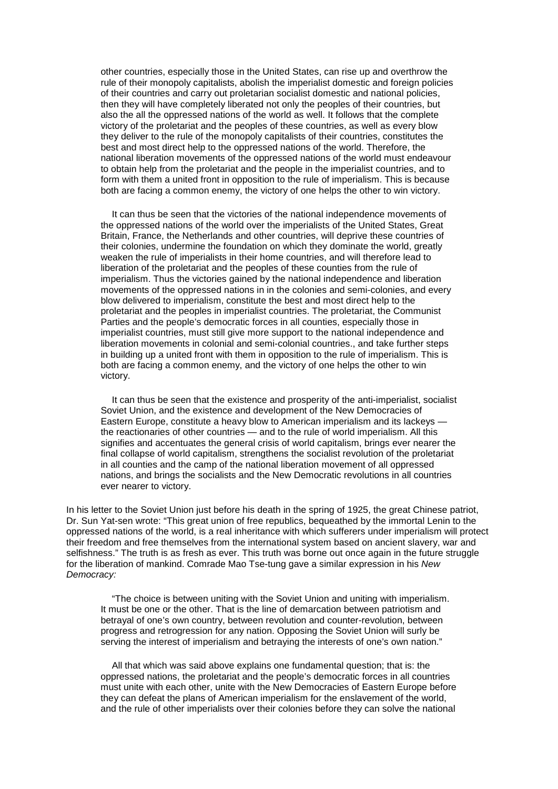other countries, especially those in the United States, can rise up and overthrow the rule of their monopoly capitalists, abolish the imperialist domestic and foreign policies of their countries and carry out proletarian socialist domestic and national policies, then they will have completely liberated not only the peoples of their countries, but also the all the oppressed nations of the world as well. It follows that the complete victory of the proletariat and the peoples of these countries, as well as every blow they deliver to the rule of the monopoly capitalists of their countries, constitutes the best and most direct help to the oppressed nations of the world. Therefore, the national liberation movements of the oppressed nations of the world must endeavour to obtain help from the proletariat and the people in the imperialist countries, and to form with them a united front in opposition to the rule of imperialism. This is because both are facing a common enemy, the victory of one helps the other to win victory.

It can thus be seen that the victories of the national independence movements of the oppressed nations of the world over the imperialists of the United States, Great Britain, France, the Netherlands and other countries, will deprive these countries of their colonies, undermine the foundation on which they dominate the world, greatly weaken the rule of imperialists in their home countries, and will therefore lead to liberation of the proletariat and the peoples of these counties from the rule of imperialism. Thus the victories gained by the national independence and liberation movements of the oppressed nations in in the colonies and semi-colonies, and every blow delivered to imperialism, constitute the best and most direct help to the proletariat and the peoples in imperialist countries. The proletariat, the Communist Parties and the people's democratic forces in all counties, especially those in imperialist countries, must still give more support to the national independence and liberation movements in colonial and semi-colonial countries., and take further steps in building up a united front with them in opposition to the rule of imperialism. This is both are facing a common enemy, and the victory of one helps the other to win victory.

It can thus be seen that the existence and prosperity of the anti-imperialist, socialist Soviet Union, and the existence and development of the New Democracies of Eastern Europe, constitute a heavy blow to American imperialism and its lackeys the reactionaries of other countries — and to the rule of world imperialism. All this signifies and accentuates the general crisis of world capitalism, brings ever nearer the final collapse of world capitalism, strengthens the socialist revolution of the proletariat in all counties and the camp of the national liberation movement of all oppressed nations, and brings the socialists and the New Democratic revolutions in all countries ever nearer to victory.

In his letter to the Soviet Union just before his death in the spring of 1925, the great Chinese patriot, Dr. Sun Yat-sen wrote: "This great union of free republics, bequeathed by the immortal Lenin to the oppressed nations of the world, is a real inheritance with which sufferers under imperialism will protect their freedom and free themselves from the international system based on ancient slavery, war and selfishness." The truth is as fresh as ever. This truth was borne out once again in the future struggle for the liberation of mankind. Comrade Mao Tse-tung gave a similar expression in his *New Democracy:*

"The choice is between uniting with the Soviet Union and uniting with imperialism. It must be one or the other. That is the line of demarcation between patriotism and betrayal of one's own country, between revolution and counter-revolution, between progress and retrogression for any nation. Opposing the Soviet Union will surly be serving the interest of imperialism and betraying the interests of one's own nation."

All that which was said above explains one fundamental question; that is: the oppressed nations, the proletariat and the people's democratic forces in all countries must unite with each other, unite with the New Democracies of Eastern Europe before they can defeat the plans of American imperialism for the enslavement of the world, and the rule of other imperialists over their colonies before they can solve the national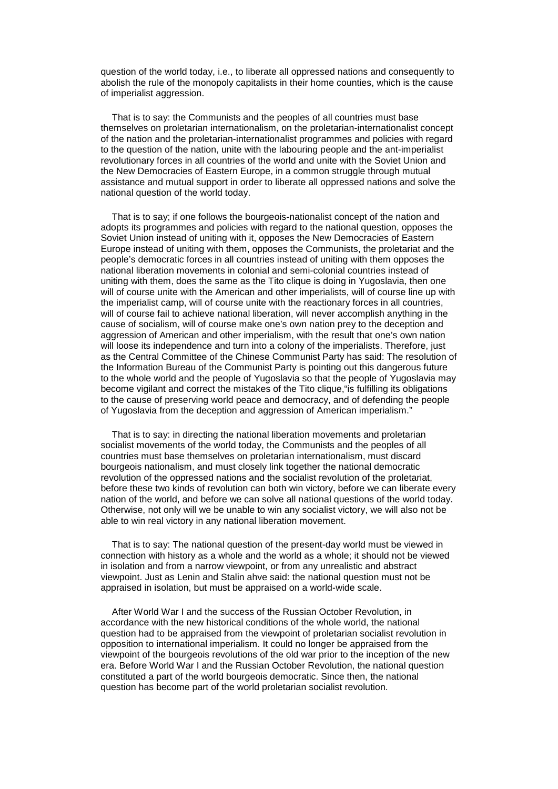question of the world today, i.e., to liberate all oppressed nations and consequently to abolish the rule of the monopoly capitalists in their home counties, which is the cause of imperialist aggression.

That is to say: the Communists and the peoples of all countries must base themselves on proletarian internationalism, on the proletarian-internationalist concept of the nation and the proletarian-internationalist programmes and policies with regard to the question of the nation, unite with the labouring people and the ant-imperialist revolutionary forces in all countries of the world and unite with the Soviet Union and the New Democracies of Eastern Europe, in a common struggle through mutual assistance and mutual support in order to liberate all oppressed nations and solve the national question of the world today.

That is to say; if one follows the bourgeois-nationalist concept of the nation and adopts its programmes and policies with regard to the national question, opposes the Soviet Union instead of uniting with it, opposes the New Democracies of Eastern Europe instead of uniting with them, opposes the Communists, the proletariat and the people's democratic forces in all countries instead of uniting with them opposes the national liberation movements in colonial and semi-colonial countries instead of uniting with them, does the same as the Tito clique is doing in Yugoslavia, then one will of course unite with the American and other imperialists, will of course line up with the imperialist camp, will of course unite with the reactionary forces in all countries, will of course fail to achieve national liberation, will never accomplish anything in the cause of socialism, will of course make one's own nation prey to the deception and aggression of American and other imperialism, with the result that one's own nation will loose its independence and turn into a colony of the imperialists. Therefore, just as the Central Committee of the Chinese Communist Party has said: The resolution of the Information Bureau of the Communist Party is pointing out this dangerous future to the whole world and the people of Yugoslavia so that the people of Yugoslavia may become vigilant and correct the mistakes of the Tito clique,"is fulfilling its obligations to the cause of preserving world peace and democracy, and of defending the people of Yugoslavia from the deception and aggression of American imperialism."

That is to say: in directing the national liberation movements and proletarian socialist movements of the world today, the Communists and the peoples of all countries must base themselves on proletarian internationalism, must discard bourgeois nationalism, and must closely link together the national democratic revolution of the oppressed nations and the socialist revolution of the proletariat, before these two kinds of revolution can both win victory, before we can liberate every nation of the world, and before we can solve all national questions of the world today. Otherwise, not only will we be unable to win any socialist victory, we will also not be able to win real victory in any national liberation movement.

That is to say: The national question of the present-day world must be viewed in connection with history as a whole and the world as a whole; it should not be viewed in isolation and from a narrow viewpoint, or from any unrealistic and abstract viewpoint. Just as Lenin and Stalin ahve said: the national question must not be appraised in isolation, but must be appraised on a world-wide scale.

After World War I and the success of the Russian October Revolution, in accordance with the new historical conditions of the whole world, the national question had to be appraised from the viewpoint of proletarian socialist revolution in opposition to international imperialism. It could no longer be appraised from the viewpoint of the bourgeois revolutions of the old war prior to the inception of the new era. Before World War I and the Russian October Revolution, the national question constituted a part of the world bourgeois democratic. Since then, the national question has become part of the world proletarian socialist revolution.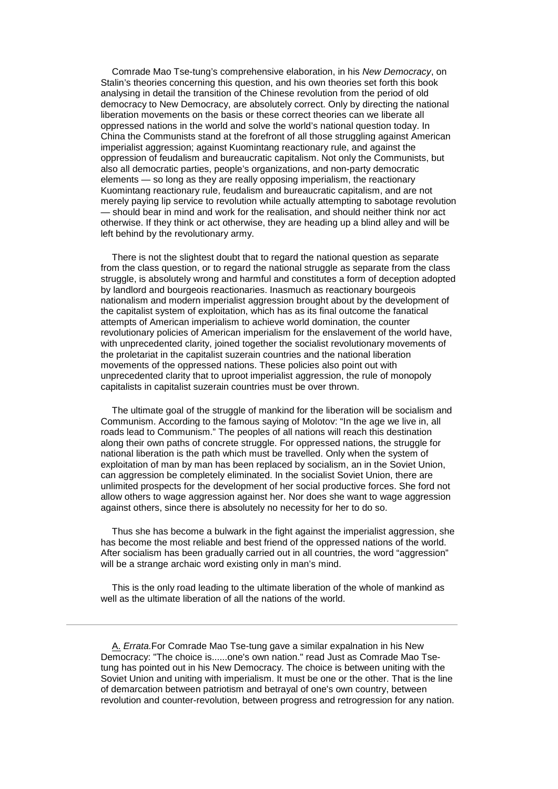Comrade Mao Tse-tung's comprehensive elaboration, in his *New Democracy*, on Stalin's theories concerning this question, and his own theories set forth this book analysing in detail the transition of the Chinese revolution from the period of old democracy to New Democracy, are absolutely correct. Only by directing the national liberation movements on the basis or these correct theories can we liberate all oppressed nations in the world and solve the world's national question today. In China the Communists stand at the forefront of all those struggling against American imperialist aggression; against Kuomintang reactionary rule, and against the oppression of feudalism and bureaucratic capitalism. Not only the Communists, but also all democratic parties, people's organizations, and non-party democratic elements — so long as they are really opposing imperialism, the reactionary Kuomintang reactionary rule, feudalism and bureaucratic capitalism, and are not merely paying lip service to revolution while actually attempting to sabotage revolution — should bear in mind and work for the realisation, and should neither think nor act otherwise. If they think or act otherwise, they are heading up a blind alley and will be left behind by the revolutionary army.

There is not the slightest doubt that to regard the national question as separate from the class question, or to regard the national struggle as separate from the class struggle, is absolutely wrong and harmful and constitutes a form of deception adopted by landlord and bourgeois reactionaries. Inasmuch as reactionary bourgeois nationalism and modern imperialist aggression brought about by the development of the capitalist system of exploitation, which has as its final outcome the fanatical attempts of American imperialism to achieve world domination, the counter revolutionary policies of American imperialism for the enslavement of the world have, with unprecedented clarity, joined together the socialist revolutionary movements of the proletariat in the capitalist suzerain countries and the national liberation movements of the oppressed nations. These policies also point out with unprecedented clarity that to uproot imperialist aggression, the rule of monopoly capitalists in capitalist suzerain countries must be over thrown.

The ultimate goal of the struggle of mankind for the liberation will be socialism and Communism. According to the famous saying of Molotov: "In the age we live in, all roads lead to Communism." The peoples of all nations will reach this destination along their own paths of concrete struggle. For oppressed nations, the struggle for national liberation is the path which must be travelled. Only when the system of exploitation of man by man has been replaced by socialism, an in the Soviet Union, can aggression be completely eliminated. In the socialist Soviet Union, there are unlimited prospects for the development of her social productive forces. She ford not allow others to wage aggression against her. Nor does she want to wage aggression against others, since there is absolutely no necessity for her to do so.

Thus she has become a bulwark in the fight against the imperialist aggression, she has become the most reliable and best friend of the oppressed nations of the world. After socialism has been gradually carried out in all countries, the word "aggression" will be a strange archaic word existing only in man's mind.

This is the only road leading to the ultimate liberation of the whole of mankind as well as the ultimate liberation of all the nations of the world.

[A.](http://www.marxists.org/reference/archive/liu-shaoqi/1952/internationalism_nationalism/ch04.htm#1b#1b) *Errata.*For Comrade Mao Tse-tung gave a similar expalnation in his New Democracy: "The choice is......one's own nation." read Just as Comrade Mao Tsetung has pointed out in his New Democracy. The choice is between uniting with the Soviet Union and uniting with imperialism. It must be one or the other. That is the line of demarcation between patriotism and betrayal of one's own country, between revolution and counter-revolution, between progress and retrogression for any nation.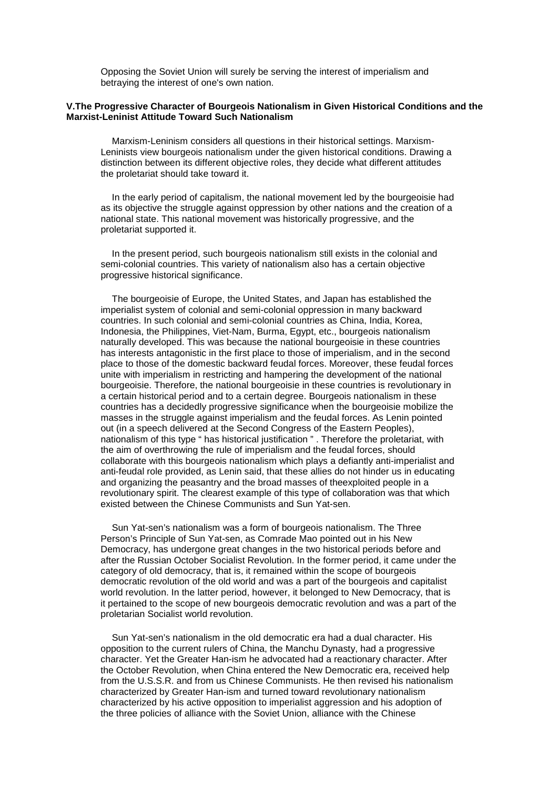Opposing the Soviet Union will surely be serving the interest of imperialism and betraying the interest of one's own nation.

## **V.The Progressive Character of Bourgeois Nationalism in Given Historical Conditions and the Marxist-Leninist Attitude Toward Such Nationalism**

Marxism-Leninism considers all questions in their historical settings. Marxism-Leninists view bourgeois nationalism under the given historical conditions. Drawing a distinction between its different objective roles, they decide what different attitudes the proletariat should take toward it.

In the early period of capitalism, the national movement led by the bourgeoisie had as its objective the struggle against oppression by other nations and the creation of a national state. This national movement was historically progressive, and the proletariat supported it.

In the present period, such bourgeois nationalism still exists in the colonial and semi-colonial countries. This variety of nationalism also has a certain objective progressive historical significance.

The bourgeoisie of Europe, the United States, and Japan has established the imperialist system of colonial and semi-colonial oppression in many backward countries. In such colonial and semi-colonial countries as China, India, Korea, Indonesia, the Philippines, Viet-Nam, Burma, Egypt, etc., bourgeois nationalism naturally developed. This was because the national bourgeoisie in these countries has interests antagonistic in the first place to those of imperialism, and in the second place to those of the domestic backward feudal forces. Moreover, these feudal forces unite with imperialism in restricting and hampering the development of the national bourgeoisie. Therefore, the national bourgeoisie in these countries is revolutionary in a certain historical period and to a certain degree. Bourgeois nationalism in these countries has a decidedly progressive significance when the bourgeoisie mobilize the masses in the struggle against imperialism and the feudal forces. As Lenin pointed out (in a speech delivered at the Second Congress of the Eastern Peoples), nationalism of this type " has historical justification " . Therefore the proletariat, with the aim of overthrowing the rule of imperialism and the feudal forces, should collaborate with this bourgeois nationalism which plays a defiantly anti-imperialist and anti-feudal role provided, as Lenin said, that these allies do not hinder us in educating and organizing the peasantry and the broad masses of theexploited people in a revolutionary spirit. The clearest example of this type of collaboration was that which existed between the Chinese Communists and Sun Yat-sen.

Sun Yat-sen's nationalism was a form of bourgeois nationalism. The Three Person's Principle of Sun Yat-sen, as Comrade Mao pointed out in his New Democracy, has undergone great changes in the two historical periods before and after the Russian October Socialist Revolution. In the former period, it came under the category of old democracy, that is, it remained within the scope of bourgeois democratic revolution of the old world and was a part of the bourgeois and capitalist world revolution. In the latter period, however, it belonged to New Democracy, that is it pertained to the scope of new bourgeois democratic revolution and was a part of the proletarian Socialist world revolution.

Sun Yat-sen's nationalism in the old democratic era had a dual character. His opposition to the current rulers of China, the Manchu Dynasty, had a progressive character. Yet the Greater Han-ism he advocated had a reactionary character. After the October Revolution, when China entered the New Democratic era, received help from the U.S.S.R. and from us Chinese Communists. He then revised his nationalism characterized by Greater Han-ism and turned toward revolutionary nationalism characterized by his active opposition to imperialist aggression and his adoption of the three policies of alliance with the Soviet Union, alliance with the Chinese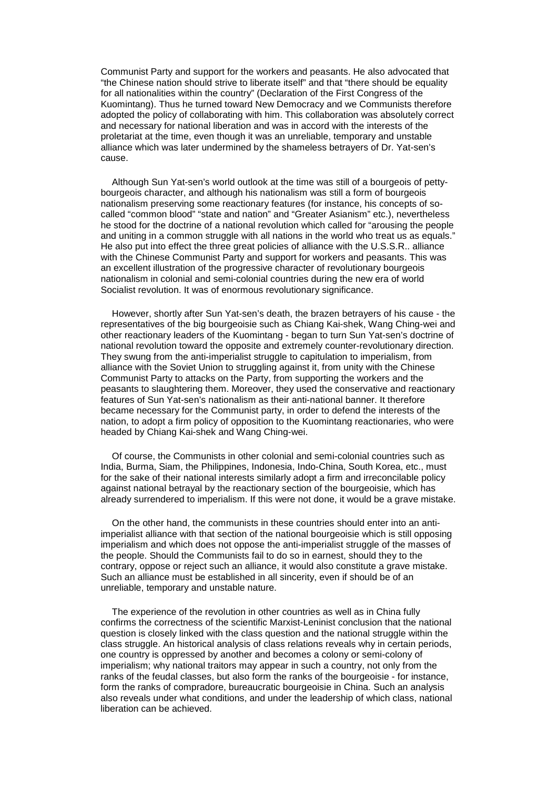Communist Party and support for the workers and peasants. He also advocated that "the Chinese nation should strive to liberate itself" and that "there should be equality for all nationalities within the country" (Declaration of the First Congress of the Kuomintang). Thus he turned toward New Democracy and we Communists therefore adopted the policy of collaborating with him. This collaboration was absolutely correct and necessary for national liberation and was in accord with the interests of the proletariat at the time, even though it was an unreliable, temporary and unstable alliance which was later undermined by the shameless betrayers of Dr. Yat-sen's cause.

Although Sun Yat-sen's world outlook at the time was still of a bourgeois of pettybourgeois character, and although his nationalism was still a form of bourgeois nationalism preserving some reactionary features (for instance, his concepts of socalled "common blood" "state and nation" and "Greater Asianism" etc.), nevertheless he stood for the doctrine of a national revolution which called for "arousing the people and uniting in a common struggle with all nations in the world who treat us as equals." He also put into effect the three great policies of alliance with the U.S.S.R.. alliance with the Chinese Communist Party and support for workers and peasants. This was an excellent illustration of the progressive character of revolutionary bourgeois nationalism in colonial and semi-colonial countries during the new era of world Socialist revolution. It was of enormous revolutionary significance.

However, shortly after Sun Yat-sen's death, the brazen betrayers of his cause - the representatives of the big bourgeoisie such as Chiang Kai-shek, Wang Ching-wei and other reactionary leaders of the Kuomintang - began to turn Sun Yat-sen's doctrine of national revolution toward the opposite and extremely counter-revolutionary direction. They swung from the anti-imperialist struggle to capitulation to imperialism, from alliance with the Soviet Union to struggling against it, from unity with the Chinese Communist Party to attacks on the Party, from supporting the workers and the peasants to slaughtering them. Moreover, they used the conservative and reactionary features of Sun Yat-sen's nationalism as their anti-national banner. It therefore became necessary for the Communist party, in order to defend the interests of the nation, to adopt a firm policy of opposition to the Kuomintang reactionaries, who were headed by Chiang Kai-shek and Wang Ching-wei.

Of course, the Communists in other colonial and semi-colonial countries such as India, Burma, Siam, the Philippines, Indonesia, Indo-China, South Korea, etc., must for the sake of their national interests similarly adopt a firm and irreconcilable policy against national betrayal by the reactionary section of the bourgeoisie, which has already surrendered to imperialism. If this were not done, it would be a grave mistake.

On the other hand, the communists in these countries should enter into an antiimperialist alliance with that section of the national bourgeoisie which is still opposing imperialism and which does not oppose the anti-imperialist struggle of the masses of the people. Should the Communists fail to do so in earnest, should they to the contrary, oppose or reject such an alliance, it would also constitute a grave mistake. Such an alliance must be established in all sincerity, even if should be of an unreliable, temporary and unstable nature.

The experience of the revolution in other countries as well as in China fully confirms the correctness of the scientific Marxist-Leninist conclusion that the national question is closely linked with the class question and the national struggle within the class struggle. An historical analysis of class relations reveals why in certain periods, one country is oppressed by another and becomes a colony or semi-colony of imperialism; why national traitors may appear in such a country, not only from the ranks of the feudal classes, but also form the ranks of the bourgeoisie - for instance, form the ranks of compradore, bureaucratic bourgeoisie in China. Such an analysis also reveals under what conditions, and under the leadership of which class, national liberation can be achieved.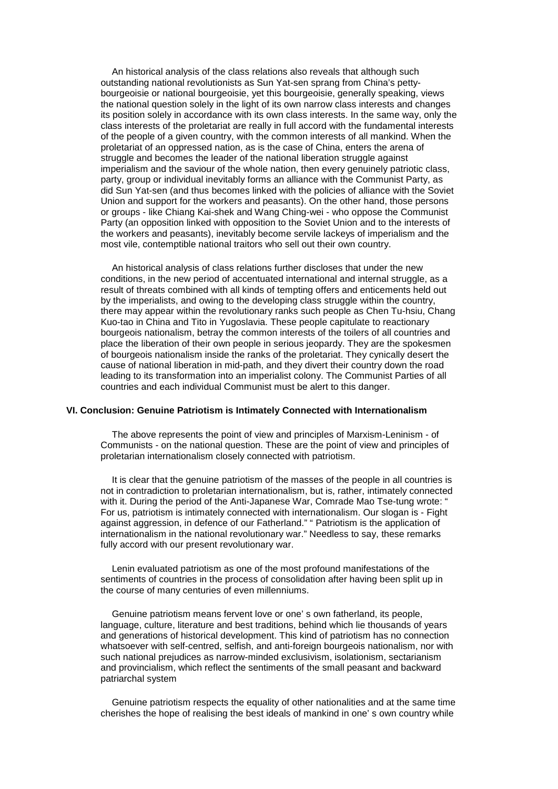An historical analysis of the class relations also reveals that although such outstanding national revolutionists as Sun Yat-sen sprang from China's pettybourgeoisie or national bourgeoisie, yet this bourgeoisie, generally speaking, views the national question solely in the light of its own narrow class interests and changes its position solely in accordance with its own class interests. In the same way, only the class interests of the proletariat are really in full accord with the fundamental interests of the people of a given country, with the common interests of all mankind. When the proletariat of an oppressed nation, as is the case of China, enters the arena of struggle and becomes the leader of the national liberation struggle against imperialism and the saviour of the whole nation, then every genuinely patriotic class, party, group or individual inevitably forms an alliance with the Communist Party, as did Sun Yat-sen (and thus becomes linked with the policies of alliance with the Soviet Union and support for the workers and peasants). On the other hand, those persons or groups - like Chiang Kai-shek and Wang Ching-wei - who oppose the Communist Party (an opposition linked with opposition to the Soviet Union and to the interests of the workers and peasants), inevitably become servile lackeys of imperialism and the most vile, contemptible national traitors who sell out their own country.

An historical analysis of class relations further discloses that under the new conditions, in the new period of accentuated international and internal struggle, as a result of threats combined with all kinds of tempting offers and enticements held out by the imperialists, and owing to the developing class struggle within the country, there may appear within the revolutionary ranks such people as Chen Tu-hsiu, Chang Kuo-tao in China and Tito in Yugoslavia. These people capitulate to reactionary bourgeois nationalism, betray the common interests of the toilers of all countries and place the liberation of their own people in serious jeopardy. They are the spokesmen of bourgeois nationalism inside the ranks of the proletariat. They cynically desert the cause of national liberation in mid-path, and they divert their country down the road leading to its transformation into an imperialist colony. The Communist Parties of all countries and each individual Communist must be alert to this danger.

#### **VI. Conclusion: Genuine Patriotism is Intimately Connected with Internationalism**

The above represents the point of view and principles of Marxism-Leninism - of Communists - on the national question. These are the point of view and principles of proletarian internationalism closely connected with patriotism.

It is clear that the genuine patriotism of the masses of the people in all countries is not in contradiction to proletarian internationalism, but is, rather, intimately connected with it. During the period of the Anti-Japanese War, Comrade Mao Tse-tung wrote: " For us, patriotism is intimately connected with internationalism. Our slogan is - Fight against aggression, in defence of our Fatherland." " Patriotism is the application of internationalism in the national revolutionary war." Needless to say, these remarks fully accord with our present revolutionary war.

Lenin evaluated patriotism as one of the most profound manifestations of the sentiments of countries in the process of consolidation after having been split up in the course of many centuries of even millenniums.

Genuine patriotism means fervent love or one' s own fatherland, its people, language, culture, literature and best traditions, behind which lie thousands of years and generations of historical development. This kind of patriotism has no connection whatsoever with self-centred, selfish, and anti-foreign bourgeois nationalism, nor with such national prejudices as narrow-minded exclusivism, isolationism, sectarianism and provincialism, which reflect the sentiments of the small peasant and backward patriarchal system

Genuine patriotism respects the equality of other nationalities and at the same time cherishes the hope of realising the best ideals of mankind in one' s own country while